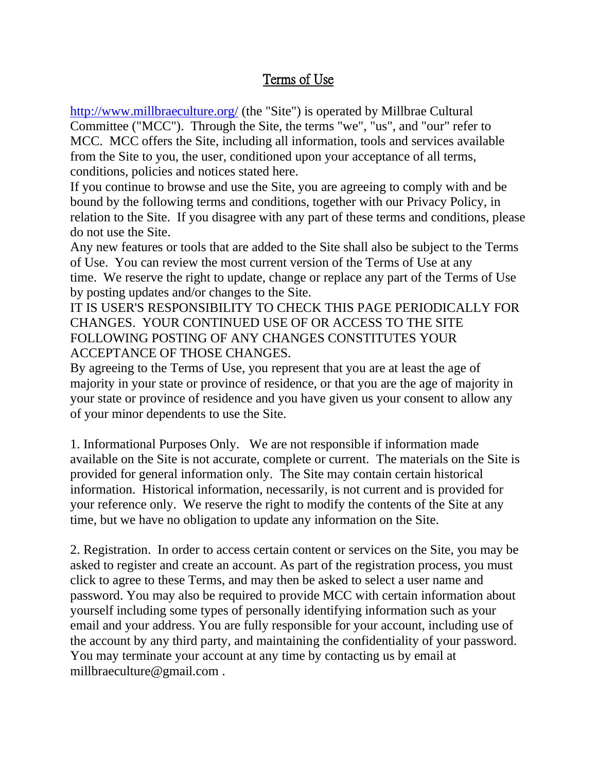## Terms of Use

<http://www.millbraeculture.org/> (the "Site") is operated by Millbrae Cultural Committee ("MCC"). Through the Site, the terms "we", "us", and "our" refer to MCC. MCC offers the Site, including all information, tools and services available from the Site to you, the user, conditioned upon your acceptance of all terms, conditions, policies and notices stated here.

If you continue to browse and use the Site, you are agreeing to comply with and be bound by the following terms and conditions, together with our Privacy Policy, in relation to the Site. If you disagree with any part of these terms and conditions, please do not use the Site.

Any new features or tools that are added to the Site shall also be subject to the Terms of Use. You can review the most current version of the Terms of Use at any time. We reserve the right to update, change or replace any part of the Terms of Use by posting updates and/or changes to the Site.

IT IS USER'S RESPONSIBILITY TO CHECK THIS PAGE PERIODICALLY FOR CHANGES. YOUR CONTINUED USE OF OR ACCESS TO THE SITE FOLLOWING POSTING OF ANY CHANGES CONSTITUTES YOUR ACCEPTANCE OF THOSE CHANGES.

By agreeing to the Terms of Use, you represent that you are at least the age of majority in your state or province of residence, or that you are the age of majority in your state or province of residence and you have given us your consent to allow any of your minor dependents to use the Site.

1. Informational Purposes Only. We are not responsible if information made available on the Site is not accurate, complete or current. The materials on the Site is provided for general information only. The Site may contain certain historical information. Historical information, necessarily, is not current and is provided for your reference only. We reserve the right to modify the contents of the Site at any time, but we have no obligation to update any information on the Site.

2. Registration. In order to access certain content or services on the Site, you may be asked to register and create an account. As part of the registration process, you must click to agree to these Terms, and may then be asked to select a user name and password. You may also be required to provide MCC with certain information about yourself including some types of personally identifying information such as your email and your address. You are fully responsible for your account, including use of the account by any third party, and maintaining the confidentiality of your password. You may terminate your account at any time by contacting us by email at millbraeculture@gmail.com .